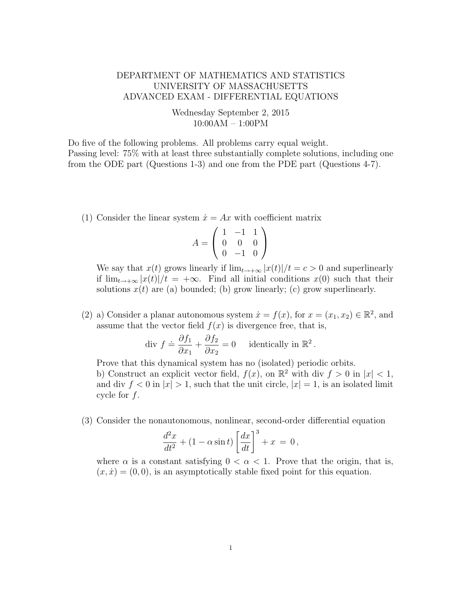## DEPARTMENT OF MATHEMATICS AND STATISTICS UNIVERSITY OF MASSACHUSETTS ADVANCED EXAM - DIFFERENTIAL EQUATIONS

## Wednesday September 2, 2015 10:00AM – 1:00PM

Do five of the following problems. All problems carry equal weight. Passing level: 75% with at least three substantially complete solutions, including one from the ODE part (Questions 1-3) and one from the PDE part (Questions 4-7).

(1) Consider the linear system  $\dot{x} = Ax$  with coefficient matrix

$$
A = \left(\begin{array}{rrr} 1 & -1 & 1 \\ 0 & 0 & 0 \\ 0 & -1 & 0 \end{array}\right)
$$

We say that  $x(t)$  grows linearly if  $\lim_{t\to+\infty} |x(t)|/t = c > 0$  and superlinearly if  $\lim_{t\to+\infty} |x(t)|/t = +\infty$ . Find all initial conditions  $x(0)$  such that their solutions  $x(t)$  are (a) bounded; (b) grow linearly; (c) grow superlinearly.

(2) a) Consider a planar autonomous system  $\dot{x} = f(x)$ , for  $x = (x_1, x_2) \in \mathbb{R}^2$ , and assume that the vector field  $f(x)$  is divergence free, that is,

div 
$$
f \doteq \frac{\partial f_1}{\partial x_1} + \frac{\partial f_2}{\partial x_2} = 0
$$
 identically in  $\mathbb{R}^2$ .

Prove that this dynamical system has no (isolated) periodic orbits. b) Construct an explicit vector field,  $f(x)$ , on  $\mathbb{R}^2$  with div  $f > 0$  in  $|x| < 1$ , and div  $f < 0$  in  $|x| > 1$ , such that the unit circle,  $|x| = 1$ , is an isolated limit cycle for  $f$ .

(3) Consider the nonautonomous, nonlinear, second-order differential equation

$$
\frac{d^2x}{dt^2} + (1 - \alpha \sin t) \left[ \frac{dx}{dt} \right]^3 + x = 0,
$$

where  $\alpha$  is a constant satisfying  $0 < \alpha < 1$ . Prove that the origin, that is,  $(x, \dot{x}) = (0, 0)$ , is an asymptotically stable fixed point for this equation.